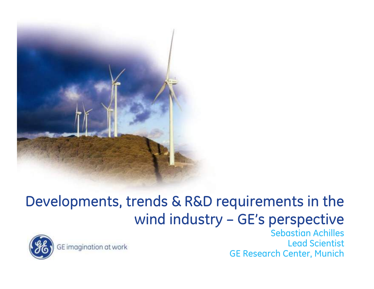

#### Developments, trends & R&D requirements in the wind industry – GE's perspective



GE imagination at work

Sebastian Achilles Lead Scientist GE Research Center, Munich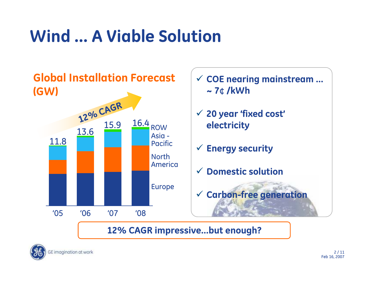## **Wind … A Viable Solution**



**12% CAGR impressive…but enough?**

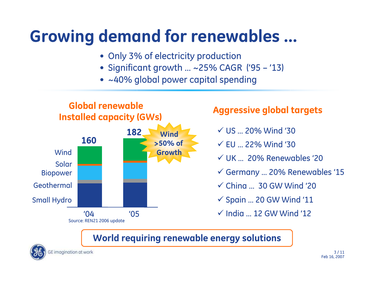#### **Growing demand for renewables …**

- Only 3% of electricity production
- Significant growth … ~25% CAGR ('95 '13)
- ~40% global power capital spending



- $\checkmark$  US ... 20% Wind '30
- $\checkmark$  EU ... 22% Wind '30
- $\checkmark$  UK ... 20% Renewables '20
- 9 Germany … 20% Renewables '15
- $\checkmark$  Ching ... 30 GW Wind '20
- $\checkmark$  Spain ... 20 GW Wind '11
- $\checkmark$  India ... 12 GW Wind '12

#### **World requi ring renewable energy solutions**

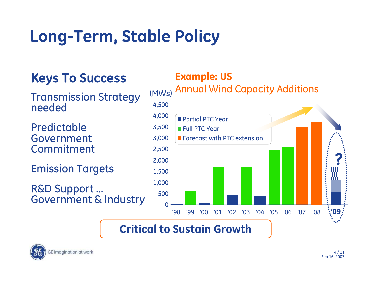## **Long-Term, Stable Policy**

#### **Keys To Success**

Transmission Strategy needed

Predictable Government Commitment

Emission Targets

R&D Support ...<br>Government & Industry

#### **Example: US**

#### $\Omega$ 5001,000 1,500 2,000 2,500 3,000 3,500 4,000 4,500 '98 '99 '00 '01 '02 '03 '04 '05 '06 '07 Annual Wind Capacity Additions **Partial PTC Year** Full PTC YearForecast with PTC extension'08**?**(MWs) **'09**

#### **Critical to Sustain Growth**

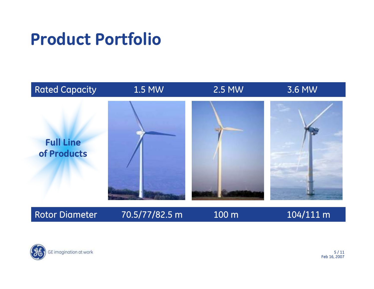#### **Product Portfolio**



Rotor Diame

#### 70.5/77/82.5 m 100 m 104/111 m

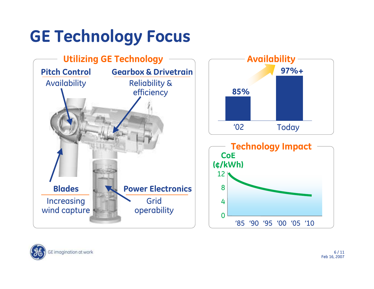## **GE Technology Focus**



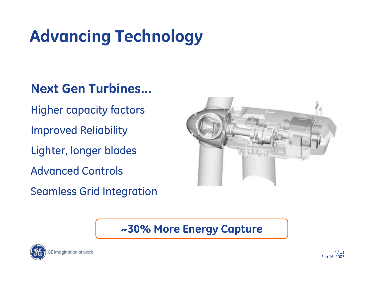## **Advancing Technology**

#### **Next Gen Turbines…**

- Higher capacity factors
- Improved Reliability
- Lighter, longer blades
- Advanced Controls
- Seamless Grid Integration



#### **~30% More Energy Capture**

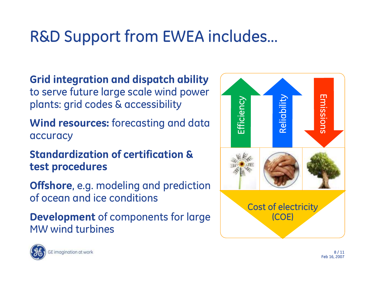### R&D Support from EWEA includes…

**Grid integration and dispatch ability**  to serve future large scale wind power plants: grid codes & accessibility

Wind resources: forecasting and data accuracy

**Standardization of certification & test procedures** 

**Offshore**, e.g. modeling and prediction of ocean and ice conditions

**Development** of components for large MW wind turbines



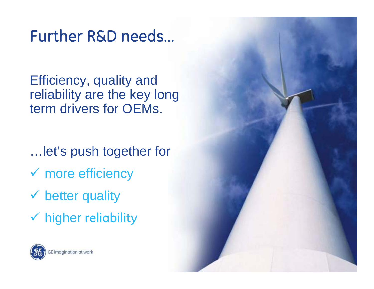#### Further R&D needs…

Efficiency, quality and reliability are the key long term drivers for OEMs.

…let's push together for

Feb 16, 2007

 $\checkmark$  more efficiency

 $\checkmark$  better quality

 $\checkmark$  higher reliability

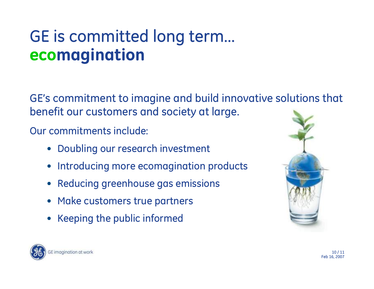#### GE is committed long term… **ecomagination**

GE's commitment to imagine and build innovative solutions that benefit our customers and society at large.

Our commitments include:

- Doubling our research investment
- •Introducing more ecomagination products
- •Reducing greenhouse gas emissions
- Make customers true partners
- Keeping the public informed